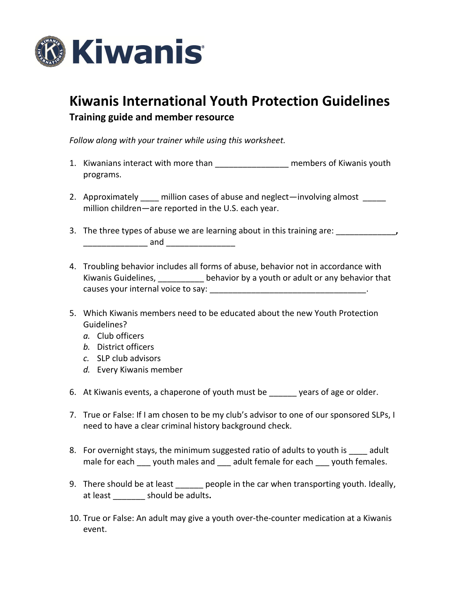

## **Kiwanis International Youth Protection Guidelines Training guide and member resource**

*Follow along with your trainer while using this worksheet.* 

- 1. Kiwanians interact with more than \_\_\_\_\_\_\_\_\_\_\_\_\_\_\_\_ members of Kiwanis youth programs.
- 2. Approximately million cases of abuse and neglect—involving almost \_\_\_\_\_ million children—are reported in the U.S. each year.
- 3. The three types of abuse we are learning about in this training are: \_\_\_\_\_\_\_\_\_\_\_\_\_**,**   $and$
- 4. Troubling behavior includes all forms of abuse, behavior not in accordance with Kiwanis Guidelines, The behavior by a youth or adult or any behavior that causes your internal voice to say: example and say and say and say a set of say in the same of same same of sa
- 5. Which Kiwanis members need to be educated about the new Youth Protection Guidelines?
	- *a.* Club officers
	- *b.* District officers
	- *c.* SLP club advisors
	- *d.* Every Kiwanis member
- 6. At Kiwanis events, a chaperone of youth must be \_\_\_\_\_\_ years of age or older.
- 7. True or False: If I am chosen to be my club's advisor to one of our sponsored SLPs, I need to have a clear criminal history background check.
- 8. For overnight stays, the minimum suggested ratio of adults to youth is adult male for each \_\_\_ youth males and \_\_\_ adult female for each \_\_\_ youth females.
- 9. There should be at least people in the car when transporting youth. Ideally, at least \_\_\_\_\_\_\_ should be adults**.**
- 10. True or False: An adult may give a youth over-the-counter medication at a Kiwanis event.